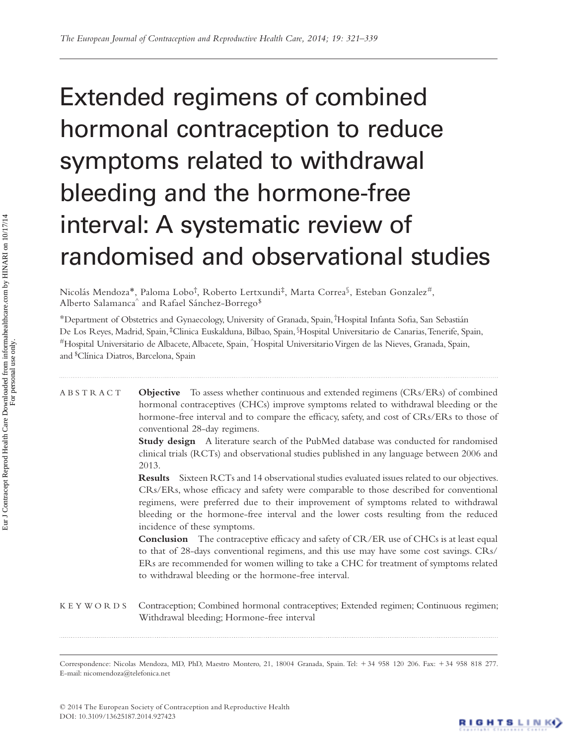# Extended regimens of combined hormonal contraception to reduce symptoms related to withdrawal bleeding and the hormone-free interval: A systematic review of randomised and observational studies

Nicolás Mendoza\*, Paloma Lobo†, Roberto Lertxundi‡, Marta Correa§, Esteban Gonzalez#, Alberto Salamanca $\hat{~}$  and Rafael Sánchez-Borrego $^{\$}$ 

\*Department of Obstetrics and Gynaecology, University of Granada, Spain, †Hospital Infanta Sofia, San Sebastián De Los Reyes, Madrid, Spain, ‡ Clinica Euskalduna, Bilbao, Spain, <sup>§</sup> Hospital Universitario de Canarias, Tenerife, Spain, #Hospital Universitario de Albacete, Albacete, Spain, ^Hospital Universitario Virgen de las Nieves, Granada, Spain, and <sup>\$</sup> Clínica Diatros, Barcelona, Spain

## ABSTRACT **Objective** To assess whether continuous and extended regimens (CRs/ERs) of combined hormonal contraceptives (CHCs) improve symptoms related to withdrawal bleeding or the hormone-free interval and to compare the efficacy, safety, and cost of CRs/ERs to those of conventional 28-day regimens.

 **Study design** A literature search of the PubMed database was conducted for randomised clinical trials (RCTs) and observational studies published in any language between 2006 and 2013.

 **Results** Sixteen RCTs and 14 observational studies evaluated issues related to our objectives. CRs/ERs, whose efficacy and safety were comparable to those described for conventional regimens, were preferred due to their improvement of symptoms related to withdrawal bleeding or the hormone-free interval and the lower costs resulting from the reduced incidence of these symptoms.

**Conclusion** The contraceptive efficacy and safety of CR/ER use of CHCs is at least equal to that of 28-days conventional regimens, and this use may have some cost savings. CRs/ ERs are recommended for women willing to take a CHC for treatment of symptoms related to withdrawal bleeding or the hormone-free interval.

## KEYWORDS Contraception; Combined hormonal contraceptives; Extended regimen; Continuous regimen; Withdrawal bleeding; Hormone-free interval

Correspondence: Nicolas Mendoza, MD, PhD, Maestro Montero, 21, 18004 Granada, Spain. Tel: +34 958 120 206. Fax: +34 958 818 277. E-mail: nicomendoza@telefonica.net

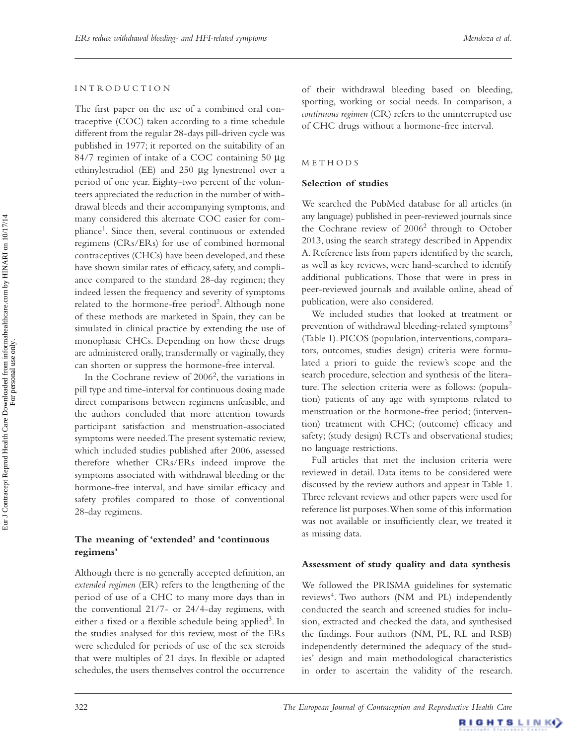#### I N T R O D U C T I O N

The first paper on the use of a combined oral contraceptive (COC) taken according to a time schedule different from the regular 28-days pill-driven cycle was published in 1977; it reported on the suitability of an 84/7 regimen of intake of a COC containing 50 μg ethinylestradiol (EE) and 250 μg lynestrenol over a period of one year. Eighty-two percent of the volunteers appreciated the reduction in the number of withdrawal bleeds and their accompanying symptoms, and many considered this alternate COC easier for compliance<sup>1</sup>. Since then, several continuous or extended regimens (CRs/ERs) for use of combined hormonal contraceptives (CHCs) have been developed, and these have shown similar rates of efficacy, safety, and compliance compared to the standard 28-day regimen; they indeed lessen the frequency and severity of symptoms related to the hormone-free period<sup>2</sup>. Although none of these methods are marketed in Spain, they can be simulated in clinical practice by extending the use of monophasic CHCs. Depending on how these drugs are administered orally, transdermally or vaginally, they can shorten or suppress the hormone-free interval.

In the Cochrane review of  $2006^2$ , the variations in pill type and time-interval for continuous dosing made direct comparisons between regimens unfeasible, and the authors concluded that more attention towards participant satisfaction and menstruation-associated symptoms were needed. The present systematic review, which included studies published after 2006, assessed therefore whether CRs/ERs indeed improve the symptoms associated with withdrawal bleeding or the hormone-free interval, and have similar efficacy and safety profiles compared to those of conventional 28-day regimens.

## The meaning of 'extended' and 'continuous **regimens '**

Although there is no generally accepted definition, an *extended regimen* (ER) refers to the lengthening of the period of use of a CHC to many more days than in the conventional 21/7- or 24/4-day regimens, with either a fixed or a flexible schedule being applied<sup>3</sup>. In the studies analysed for this review, most of the ERs were scheduled for periods of use of the sex steroids that were multiples of 21 days. In flexible or adapted schedules, the users themselves control the occurrence

of their withdrawal bleeding based on bleeding, sporting, working or social needs. In comparison, a *continuous regimen* (CR) refers to the uninterrupted use of CHC drugs without a hormone-free interval.

## **METHODS**

#### **Selection of studies**

We searched the PubMed database for all articles (in any language) published in peer-reviewed journals since the Cochrane review of  $2006<sup>2</sup>$  through to October 2013, using the search strategy described in Appendix A. Reference lists from papers identified by the search, as well as key reviews, were hand-searched to identify additional publications. Those that were in press in peer-reviewed journals and available online, ahead of publication, were also considered.

We included studies that looked at treatment or prevention of withdrawal bleeding-related symptoms<sup>2</sup> (Table 1). PICOS (population, interventions, comparators, outcomes, studies design) criteria were formulated a priori to guide the review's scope and the search procedure, selection and synthesis of the literature. The selection criteria were as follows: (population) patients of any age with symptoms related to menstruation or the hormone-free period; (intervention) treatment with CHC; (outcome) efficacy and safety; (study design) RCTs and observational studies; no language restrictions.

Full articles that met the inclusion criteria were reviewed in detail. Data items to be considered were discussed by the review authors and appear in Table 1. Three relevant reviews and other papers were used for reference list purposes. When some of this information was not available or insufficiently clear, we treated it as missing data.

#### **Assessment of study quality and data synthesis**

We followed the PRISMA guidelines for systematic reviews<sup>4</sup>. Two authors (NM and PL) independently conducted the search and screened studies for inclusion, extracted and checked the data, and synthesised the findings. Four authors (NM, PL, RL and RSB) independently determined the adequacy of the studies' design and main methodological characteristics in order to ascertain the validity of the research.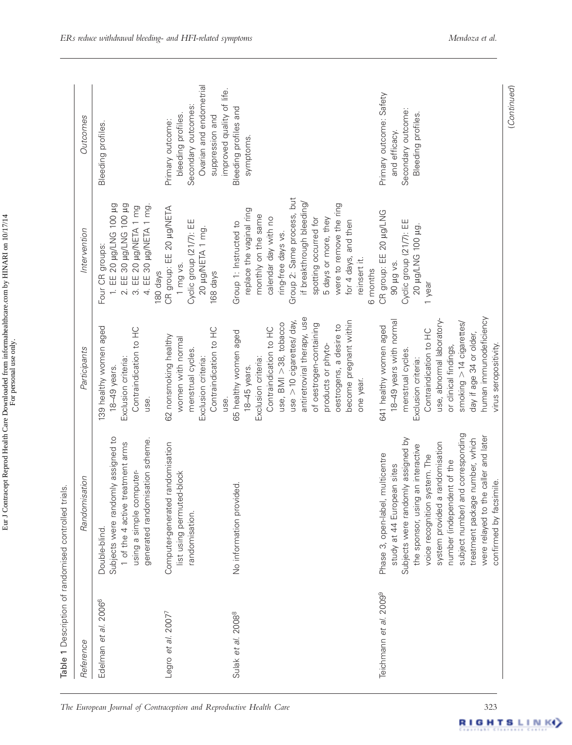| . LINIADI $\sim$ 10/17/14<br>$\frac{1}{r}$<br>.<br>Comme<br>.<br>ו | $\ddot{\phantom{a}}$<br>ine en |
|--------------------------------------------------------------------|--------------------------------|
| i<br>T                                                             |                                |

| Reference                      | nisation<br>Randon                                                                                                                                                                                                                                                                                                                                                                                   | Participants                                                                                                                                                                                                                                                                                      | Intervention                                                                                                                                                                                                                                                                                                       | Outcomes                                                                                                                                 |
|--------------------------------|------------------------------------------------------------------------------------------------------------------------------------------------------------------------------------------------------------------------------------------------------------------------------------------------------------------------------------------------------------------------------------------------------|---------------------------------------------------------------------------------------------------------------------------------------------------------------------------------------------------------------------------------------------------------------------------------------------------|--------------------------------------------------------------------------------------------------------------------------------------------------------------------------------------------------------------------------------------------------------------------------------------------------------------------|------------------------------------------------------------------------------------------------------------------------------------------|
| 20066<br>et al.<br>Edelman     | Subjects were randomly assigned to<br>generated randomisation scheme.<br>1 of the 4 active treatment arms<br>using a simple computer-<br>Double-blind                                                                                                                                                                                                                                                | 139 healthy women aged<br>Contraindication to HC<br>Exclusion criteria:<br>18-49 years.<br>use.                                                                                                                                                                                                   | 2. EE 30 µg/LNG 100 µg<br>1. EE 20 µg/LNG 100 µg<br>4. EE 30 µg/NETA 1 mg.<br>3. EE 20 µg/NETA 1 mg<br>Four CR groups:<br>180 days                                                                                                                                                                                 | <b>Bleeding profiles</b>                                                                                                                 |
| Legro et al. 2007 <sup>7</sup> | Computer-generated randomisation<br>list using permuted-block<br>randomisation.                                                                                                                                                                                                                                                                                                                      | Contraindication to HC<br>62 nonsmoking healthy<br>women with normal<br>menstrual cycles.<br>Exclusion criteria:<br>use.                                                                                                                                                                          | CR group: EE 20 µg/NETA<br>Cyclic group (21/7): EE<br>20 µg/NETA 1 mg.<br>1 mg vs.<br>168 days                                                                                                                                                                                                                     | Ovarian and endometrial<br>improved quality of life.<br>Secondary outcomes:<br>bleeding profiles.<br>suppression and<br>Primary outcome: |
| Sulak et al. 2008 <sup>8</sup> | No information provided                                                                                                                                                                                                                                                                                                                                                                              | antiretroviral therapy, use<br>become pregnant within<br>use $>$ 10 cigarettes/ day,<br>use, BMI > 38, tobacco<br>of oestrogen-containing<br>oestrogens, a desire to<br>Contraindication to HC<br>65 healthy women aged<br>products or phyto-<br>Exclusion criteria:<br>18-45 years.<br>one year. | Group 2: Same process, but<br>if breakthrough bleeding/<br>were to remove the ring<br>replace the vaginal ring<br>monthly on the same<br>calendar day with no<br>spotting occurred for<br>5 days or more, they<br>for 4 days, and then<br>Group 1: Instructed to<br>ring-free days vs.<br>reinsert it.<br>6 months | <b>Bleeding profiles and</b><br>symptoms.                                                                                                |
| 20099<br>Teichmann et al.      | and corresponding<br>the caller and later<br>treatment package number, which<br>Subjects were randomly assigned by<br>a randomisation<br>the sponsor, using an interactive<br>Phase 3, open-label, multicentre<br>voice recognition system. The<br>ident of the<br>study at 44 European sites<br>confirmed by facsimile.<br>system provided<br>number (indeper<br>subject number)<br>were relayed to | human immunodeficiency<br>use, abnormal laboratory-<br>18-49 years with normal<br>smoking $> 14$ cigarettes/<br>641 healthy women aged<br>Contraindication to HC<br>day if age 34 or older,<br>virus seropositivity.<br>or clinical findings,<br>menstrual cycles.<br>Exclusion criteria:         | CR group: EE 20 µg/LNG<br>Cyclic group (21/7): EE<br>20 µg/LNG 100 µg.<br>90 µg vs.<br>1 year                                                                                                                                                                                                                      | Primary outcome: Safety<br>Secondary outcome:<br>Bleeding profiles.<br>and efficacy.                                                     |

(*Continued*)

(Continued)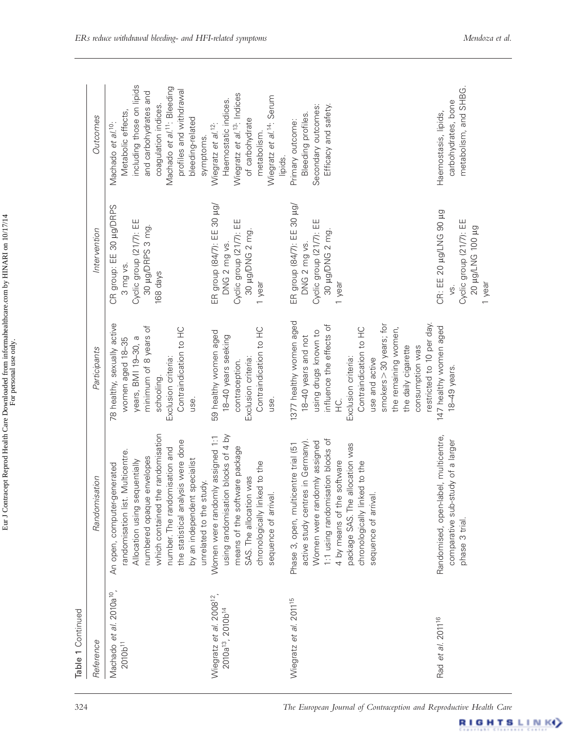| Reference                                                                         | misation<br>Randor                                                                                                                                                                                                                                                                                      | Participants                                                                                                                                                                                                                                                                                               | Intervention                                                                                       | Outcomes                                                                                                                                                                                                                                  |
|-----------------------------------------------------------------------------------|---------------------------------------------------------------------------------------------------------------------------------------------------------------------------------------------------------------------------------------------------------------------------------------------------------|------------------------------------------------------------------------------------------------------------------------------------------------------------------------------------------------------------------------------------------------------------------------------------------------------------|----------------------------------------------------------------------------------------------------|-------------------------------------------------------------------------------------------------------------------------------------------------------------------------------------------------------------------------------------------|
| Machado et al. 2010a <sup>10</sup> ,<br>$2010b^{11}$                              | which contained the randomisation<br>the statistical analysis were done<br>number. The randomisation and<br>randomisation list. Multicentre.<br>numbered opaque envelopes<br>by an independent specialist<br>Allocation using sequentially<br>An open, computer-generated<br>study.<br>unrelated to the | 78 healthy, sexually active<br>minimum of 8 years of<br>Contraindication to HC<br>years, BMI 19-30, a<br>women aged 18-35<br>Exclusion criteria:<br>schooling.<br>use.                                                                                                                                     | CR group: EE 30 µg/DRPS<br>Cyclic group (21/7): EE<br>30 µg/DRPS 3 mg.<br>3 mg vs.<br>168 days     | including those on lipids<br>Machado et al. <sup>11</sup> : Bleeding<br>profiles and withdrawal<br>and carbohydrates and<br>coagulation indices.<br>Metabolic effects,<br>bleeding-related<br>Machado et al. <sup>10</sup> :<br>symptoms. |
| Wiegratz et al. 2008 <sup>12</sup> ,<br>2010a <sup>13</sup> , 2010b <sup>14</sup> | using randomisation blocks of 4 by<br>Women were randomly assigned 1:1<br>means of the software package<br>chronologically linked to the<br>SAS. The allocation was<br>sequence of arrival.                                                                                                             | Contraindication to HC<br>59 healthy women aged<br>18-40 years seeking<br>Exclusion criteria:<br>contraception.<br>use.                                                                                                                                                                                    | ER group (84/7): EE 30 µg/<br>Cyclic group (21/7): EE<br>30 µg/DNG 2 mg.<br>DNG 2 mg vs.<br>1 year | Wiegratz et al. <sup>13</sup> : Indices<br>Wiegratz et al. <sup>14</sup> : Serum<br>Haemostatic indices.<br>of carbohydrate<br>Wiegratz et al. <sup>12</sup> :<br>metabolism.<br>lipids.                                                  |
| Wiegratz et al. 2011 <sup>15</sup>                                                | 1:1 using randomisation blocks of<br>active study centres in Germany).<br>Women were randomly assigned<br>package SAS. The allocation was<br>Phase 3, open, multicentre trial (51<br>4 by means of the software<br>chronologically linked to the<br>sequence of arrival.                                | 1377 healthy women aged<br>restricted to 10 per day.<br>smokers > 30 years; for<br>influence the effects of<br>Contraindication to HC<br>the remaining women,<br>using drugs known to<br>18-40 years and not<br>the daily cigarette<br>consumption was<br>Exclusion criteria:<br>use and active<br>Ο.<br>Έ | ER group (84/7): EE 30 µg/<br>Cyclic group (21/7): EE<br>30 µg/DNG 2 mg.<br>DNG 2 mg vs.<br>1 year | Secondary outcomes:<br>Efficacy and safety.<br>Bleeding profiles.<br>Primary outcome:                                                                                                                                                     |
| Rad et al. 2011 <sup>16</sup>                                                     | Randomised, open-label, multicentre,<br>comparative sub-study of a larger<br>phase 3 trial.                                                                                                                                                                                                             | 147 healthy women aged<br>18-49 years.                                                                                                                                                                                                                                                                     | CR: EE 20 µg/LNG 90 µg<br>Cyclic group (21/7): EE<br><b>SO hol.</b> DNT/Pn 02<br>1 year            | metabolism, and SHBG.<br>carbohydrates, bone<br>Haemostasis, lipids,                                                                                                                                                                      |

RIGHTS LINK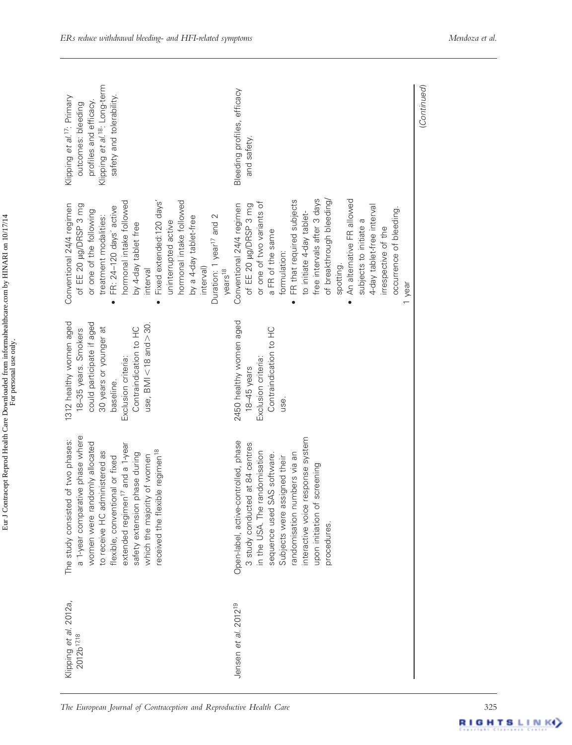| Klipping et al. <sup>18</sup> : Long-term<br>Klipping et al. <sup>17</sup> : Primary<br>safety and tolerability<br>profiles and efficacy.<br>outcomes: bleeding                                                                                                                                                                                                  | Bleeding profiles, efficacy<br>and safety.                                                                                                                                                                                                                                                                                                                                                                                 | (Continued) |
|------------------------------------------------------------------------------------------------------------------------------------------------------------------------------------------------------------------------------------------------------------------------------------------------------------------------------------------------------------------|----------------------------------------------------------------------------------------------------------------------------------------------------------------------------------------------------------------------------------------------------------------------------------------------------------------------------------------------------------------------------------------------------------------------------|-------------|
| hormonal intake followed<br>hormonal intake followed<br>Fixed extended:120 days'<br>Conventional 24/4 regimen<br>of EE 20 µg/DRSP 3 mg<br>FR: 24-120 days' active<br>or one of the following<br>Duration: 1 year <sup>17</sup> and 2<br>treatment modalities:<br>by a 4-day tablet-free<br>uninterrupted active<br>by 4-day tablet free<br>interval)<br>interval | free intervals after 3 days<br>An alternative FR allowed<br>FR that required subjects<br>of breakthrough bleeding<br>or one of two variants of<br>of EE 20 µg/DRSP 3 mg<br>Conventional 24/4 regimen<br>4-day tablet-free interval<br>occurrence of bleeding<br>to initiate 4-day tablet-<br>subjects to initiate a<br>irrespective of the<br>a FR of the same<br>formulation:<br>spotting.<br>years <sup>18</sup><br>year |             |
| 1312 healthy women aged<br>could participate if aged<br>use, $BMI < 18$ and $>30$<br>30 years or younger at<br>Contraindication to HC<br>18-35 years. Smokers<br>Exclusion criteria:<br>baseline.                                                                                                                                                                | 2450 healthy women aged<br>Contraindication to HC<br>Exclusion criteria:<br>18-45 years<br>use.                                                                                                                                                                                                                                                                                                                            |             |
| a 1-year comparative phase where<br>The study consisted of two phases:<br>women were randomly allocated<br>and a 1-year<br>received the flexible regimen <sup>18</sup><br>to receive HC administered as<br>ase during<br>which the majority of women<br>flexible, conventional or fixed<br>extended regimen <sup>17</sup><br>safety extension ph                 | interactive voice response system<br>Open-label, active-controlled, phase<br>3 study conducted at 84 centres<br>in the USA. The randomisation<br>randomisation numbers via an<br>sequence used SAS software.<br>Subjects were assigned their<br>upon initiation of screening<br>procedures                                                                                                                                 |             |
| Klipping et al. 2012a,<br>2012b <sup>1718</sup>                                                                                                                                                                                                                                                                                                                  | Jensen et al. 2012 <sup>19</sup>                                                                                                                                                                                                                                                                                                                                                                                           |             |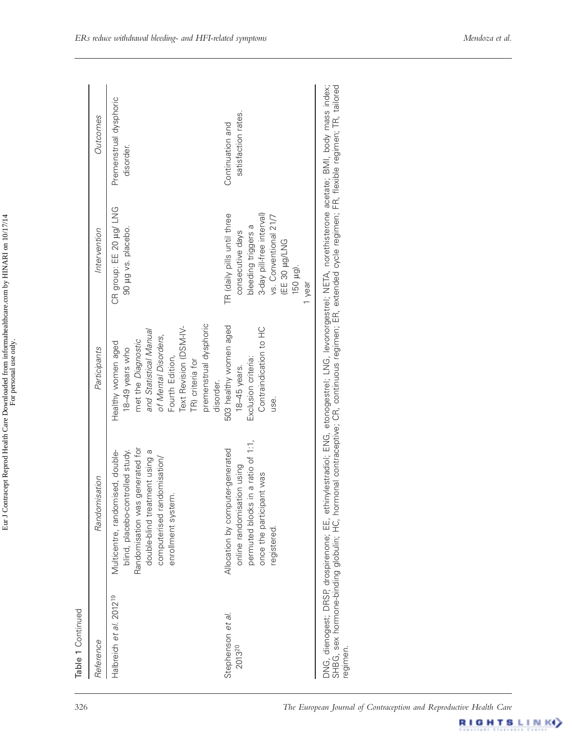|                                                                                                                                                                                                 | Outcomes                                |
|-------------------------------------------------------------------------------------------------------------------------------------------------------------------------------------------------|-----------------------------------------|
| CR group: EE 20 µg/ LNG<br>90 µg vs. placebo.<br>premenstrual dysphoric<br>Text Revision (DSM-IV-<br>and Statistical Manual<br>of Mental Disorders,<br>met the Diagnostic<br>Healthy women aged | Premenstrual dysphoric<br>disorder.     |
| 3-day pill-free interval)<br>TR (daily pills until three<br>bleeding triggers a<br>consecutive days<br>EE 30 µg/LNG<br>150 µg).<br>1 year<br>503 healthy women aged<br>Contraindication to HC   | satisfaction rates.<br>Continuation and |
|                                                                                                                                                                                                 | vs. Conventional 21/7                   |

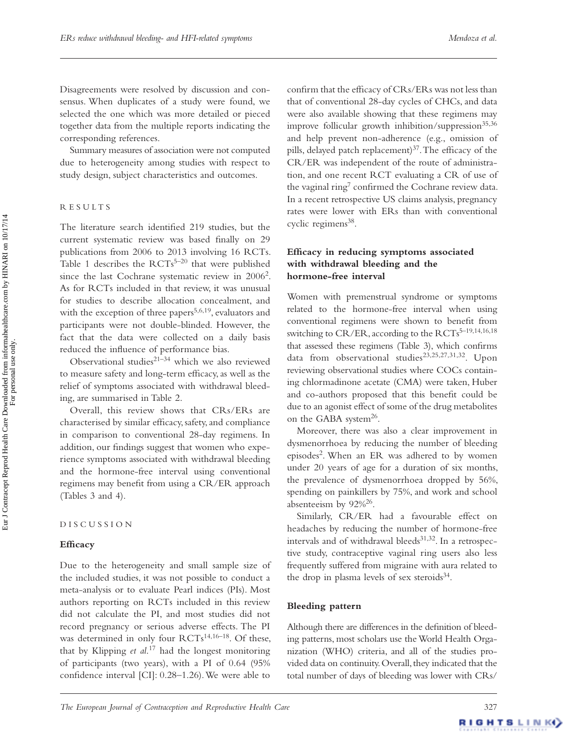Disagreements were resolved by discussion and consensus. When duplicates of a study were found, we selected the one which was more detailed or pieced together data from the multiple reports indicating the corresponding references.

Summary measures of association were not computed due to heterogeneity among studies with respect to study design, subject characteristics and outcomes.

### R E S U L T S

The literature search identified 219 studies, but the current systematic review was based finally on 29 publications from 2006 to 2013 involving 16 RCTs. Table 1 describes the  $RCTs^{5-20}$  that were published since the last Cochrane systematic review in 2006<sup>2</sup>. As for RCTs included in that review, it was unusual for studies to describe allocation concealment, and with the exception of three papers<sup>5,6,19</sup>, evaluators and participants were not double-blinded. However, the fact that the data were collected on a daily basis reduced the influence of performance bias.

Observational studies $2^{1-34}$  which we also reviewed to measure safety and long-term efficacy, as well as the relief of symptoms associated with withdrawal bleeding, are summarised in Table 2.

Overall, this review shows that CRs/ERs are characterised by similar efficacy, safety, and compliance in comparison to conventional 28-day regimens. In addition, our findings suggest that women who experience symptoms associated with withdrawal bleeding and the hormone-free interval using conventional regimens may benefit from using a CR/ER approach (Tables 3 and 4).

#### D I S C U S S I O N

#### **Efficacy**

Due to the heterogeneity and small sample size of the included studies, it was not possible to conduct a meta-analysis or to evaluate Pearl indices (PIs). Most authors reporting on RCTs included in this review did not calculate the PI, and most studies did not record pregnancy or serious adverse effects. The PI was determined in only four RCTs<sup>14,16-18</sup>. Of these, that by Klipping *et al.*<sup>17</sup> had the longest monitoring of participants (two years), with a PI of 0.64 (95% confidence interval [CI]:  $0.28-1.26$ ). We were able to

confirm that the efficacy of CRs/ERs was not less than that of conventional 28-day cycles of CHCs, and data were also available showing that these regimens may improve follicular growth inhibition/suppression $35,36$ and help prevent non-adherence (e.g., omission of pills, delayed patch replacement) $37$ . The efficacy of the CR/ER was independent of the route of administration, and one recent RCT evaluating a CR of use of the vaginal ring<sup>7</sup> confirmed the Cochrane review data. In a recent retrospective US claims analysis, pregnancy rates were lower with ERs than with conventional cyclic regimens<sup>38</sup>.

## Efficacy in reducing symptoms associated **with withdrawal bleeding and the hormone-free interval**

Women with premenstrual syndrome or symptoms related to the hormone-free interval when using conventional regimens were shown to benefit from switching to CR/ER, according to the RCTs<sup>5-19,14,16,18</sup> that assessed these regimens (Table 3), which confirms data from observational studies<sup>23,25,27,31,32</sup>. Upon reviewing observational studies where COCs containing chlormadinone acetate (CMA) were taken, Huber and co-authors proposed that this benefit could be due to an agonist effect of some of the drug metabolites on the GABA system<sup>26</sup>.

Moreover, there was also a clear improvement in dysmenorrhoea by reducing the number of bleeding episodes<sup>2</sup>. When an ER was adhered to by women under 20 years of age for a duration of six months, the prevalence of dysmenorrhoea dropped by 56%, spending on painkillers by 75%, and work and school absenteeism by  $92\%^{26}$ .

Similarly, CR/ER had a favourable effect on headaches by reducing the number of hormone-free intervals and of withdrawal bleeds $31,32$ . In a retrospective study, contraceptive vaginal ring users also less frequently suffered from migraine with aura related to the drop in plasma levels of sex steroids $34$ .

#### **Bleeding pattern**

Although there are differences in the definition of bleeding patterns, most scholars use the World Health Organization (WHO) criteria, and all of the studies provided data on continuity. Overall, they indicated that the total number of days of bleeding was lower with CRs/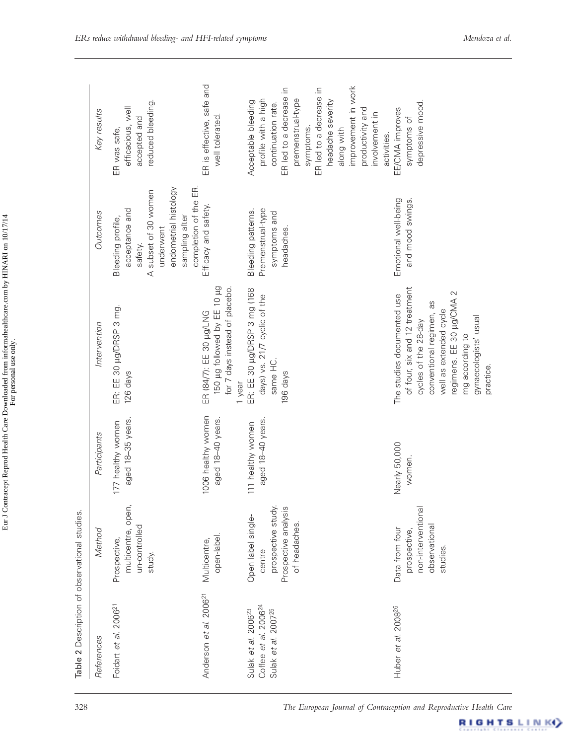| References                                                                                             | Method                                                                                      | Participants                            | Intervention                                                                                                                                                                                                                   | Outcomes                                                                                                                                                | Key results                                                                                                                                                                                                                                           |
|--------------------------------------------------------------------------------------------------------|---------------------------------------------------------------------------------------------|-----------------------------------------|--------------------------------------------------------------------------------------------------------------------------------------------------------------------------------------------------------------------------------|---------------------------------------------------------------------------------------------------------------------------------------------------------|-------------------------------------------------------------------------------------------------------------------------------------------------------------------------------------------------------------------------------------------------------|
| 2006 <sup>21</sup><br>Foidart et al.                                                                   | open<br>un-controlled<br>multicentre,<br>Prospective,<br>study.                             | aged 18-35 years.<br>177 healthy women  | ER: EE 30 µg/DRSP 3 mg<br>126 days                                                                                                                                                                                             | completion of the ER.<br>endometrial histology<br>A subset of 30 women<br>acceptance and<br>sampling after<br>Bleeding profile,<br>underwent<br>safety. | reduced bleeding.<br>efficacious, well<br>accepted and<br>ER was safe,                                                                                                                                                                                |
| Anderson et al. 2006 <sup>21</sup>                                                                     | open-label.<br>Multicentre,                                                                 | 1006 healthy women<br>aged 18-40 years. | 150 µg followed by EE 10 µg<br>for 7 days instead of placebo.<br>ER (84/7): EE 30 µg/LNG<br>1 year                                                                                                                             | Efficacy and safety.                                                                                                                                    | ER is effective, safe and<br>well tolerated.                                                                                                                                                                                                          |
| Coffee et al. 2006 <sup>24</sup><br>Sulak et al. 2006 <sup>23</sup><br>Sulak et al. 2007 <sup>25</sup> | prospective study.<br>Prospective analysis<br>Open label single-<br>of headaches.<br>centre | aged 18-40 years.<br>111 healthy women  | ER: EE 30 µg/DRSP 3 mg (168<br>days) vs. 21/7 cyclic of the<br>same HC.<br>196 days                                                                                                                                            | Premenstrual-type<br>Bleeding patterns.<br>symptoms and<br>headaches.                                                                                   | improvement in work<br>ER led to a decrease in<br>ER led to a decrease<br>profile with a high<br>premenstrual-type<br>headache severity<br>Acceptable bleeding<br>continuation rate.<br>productivity and<br>involvement in<br>symptoms.<br>along with |
| 200826<br>Huber et al.                                                                                 | non-interventional<br>observational<br>Data from four<br>prospective,<br>studies            | Nearly 50,000<br>women.                 | of four, six and 12 treatment<br>regimens. EE 30 µg/CMA 2<br>The studies documented use<br>conventional regimen, as<br>well as extended cycle<br>gynaecologists' usual<br>cycles of the 28-day<br>mg according to<br>practice. | Emotional well-being<br>and mood swings.                                                                                                                | depressive mood.<br>EE/CMA improves<br>symptoms of<br>activities.                                                                                                                                                                                     |

Eur J Contracept Reprod Health Care Downloaded from informahealthcare.com by HINARI on 10/17/14 Eur J Contracept Reprod Health Care Downloaded from informahealthcare.com by HINARI on 10/17/14 For personal use only.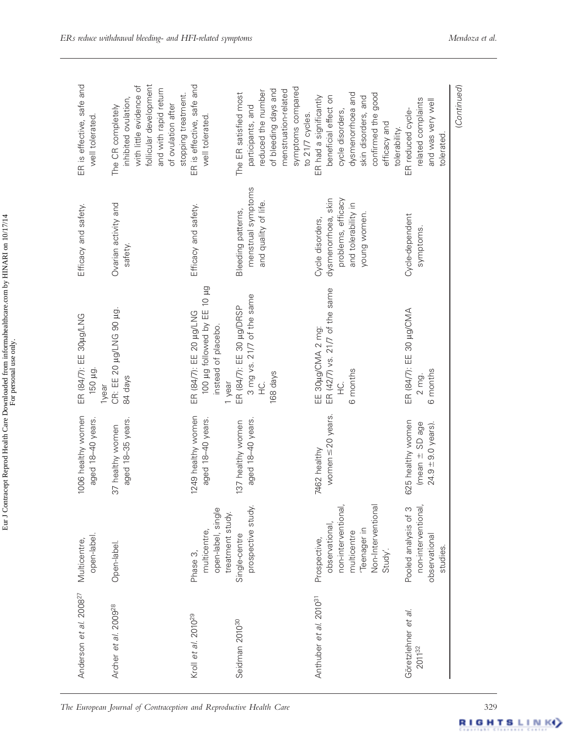| related complaints<br>and was very well<br>ER reduced cycle-<br>tolerated                                                                    | Cycle-dependent<br>symptoms.                              | ER (84/7): EE 30 µg/CMA<br>6 months<br>2 mg.              | 625 healthy women<br>(mean ± SD age<br>$24.9 \pm 9.0$ years). | non-interventional,<br>Pooled analysis of 3<br>observational<br>studies.          | Göretzlehner et al.<br>201132      |
|----------------------------------------------------------------------------------------------------------------------------------------------|-----------------------------------------------------------|-----------------------------------------------------------|---------------------------------------------------------------|-----------------------------------------------------------------------------------|------------------------------------|
| confirmed the good<br>dysmenorrhoea and<br>skin disorders, and<br>cycle disorders,<br>efficacy and<br>tolerability.                          | problems, efficacy<br>and tolerability in<br>young women. | 6 months<br>넢<br>노                                        |                                                               | non-interventional,<br>Non-Interventional<br>Teenager in<br>multicentre<br>Study' |                                    |
| symptoms compared<br>menstruation-related<br>beneficial effect on<br>ER had a significantly<br>to 21/7 cycles.                               | dysmenorrhoea, skin<br>Cycle disorders,                   | ER (42/7) vs. 21/7 of the same<br>EE 30µg/CMA 2 mg:       | women $\leq$ 20 years.<br>7462 healthy                        | observational,<br>Prospective,                                                    | Anthuber et al. 2010 <sup>31</sup> |
| of bleeding days and<br>reduced the number<br>participants, and                                                                              | menstrual symptoms<br>and quality of life.                | 3 mg vs. 21/7 of the same<br>168 days<br>$\frac{Q}{L}$    | aged 18-40 years.                                             | prospective study.                                                                |                                    |
| The ER satisfied most                                                                                                                        | Bleeding patterns,                                        | ER (84/7): EE 30 µg/DRSP<br>instead of placebo.<br>1 year | 137 healthy women                                             | open-label, single<br>treatment study.<br>Single-centre                           | Seidman 2010 <sup>30</sup>         |
| follicular development<br>ER is effective, safe and<br>and with rapid return<br>stopping treatment.<br>of ovulation after<br>well tolerated. | Efficacy and safety.                                      | pu 01 33 yd bowelot pu 00 ug<br>ER (84/7): EE 20 µg/LNG   | 1249 healthy women<br>aged 18-40 years.                       | multicentre,<br>Phase 3,                                                          | Kroll et al. 2010 <sup>29</sup>    |
| with little evidence of<br>inhibited ovulation,<br>The CR completely                                                                         | Ovarian activity and<br>safety.                           | CR: EE 20 µg/LNG 90 µg.<br>84 days                        | aged 18-35 years.<br>37 healthy women                         | Open-label.                                                                       | Archer et al. 2009 <sup>28</sup>   |
| ER is effective, safe and<br>well tolerated.                                                                                                 | Efficacy and safety.                                      | ER (84/7): EE 30µg/LNG<br>150 µg.<br>1year                | 1006 healthy women<br>aged 18-40 years.                       | open-label.<br>Multicentre,                                                       | Anderson et al. 2008 <sup>27</sup> |

Eur J Contracept Reprod Health Care Downloaded from informahealthcare.com by HINARI on 10/17/14 Eur J Contracept Reprod Health Care Downloaded from informahealthcare.com by HINARI on 10/17/14 For personal use only.

RIGHTSLINK<sup>Y</sup>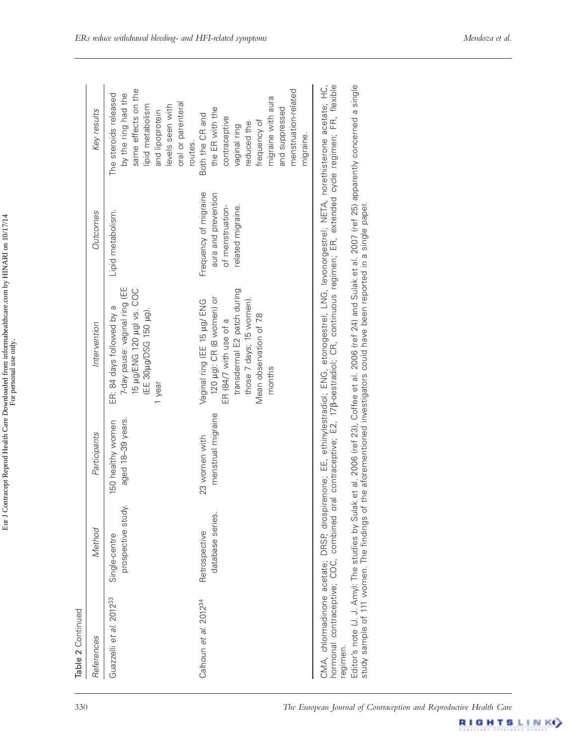| Editor's note (J. J. Amy): The studies by Sulak et al. 2006 (ref 23), Coffee et al. 2006 (ref 24) and Sulak et al. 2007 (ref 25) apparently concerned a single<br>study sample of 111 women. The findings of the aforementioned i<br>menstrual migraine<br>aged 18-39 years.<br>150 healthy women<br>23 women with<br>prospective study.<br>database series.<br>Retrospective<br>Single-centre<br>COC,<br>CMA, chlormadinone acetate;<br>hormonal contraceptive;<br>Guazzelli et al. 2012 <sup>33</sup><br>Calhoun et al. 2012 <sup>34</sup><br>regimen. | 7-day pause: vaginal ring (EE<br>ER: 84 days followed by a                                                                                                                                                                        | Outcomes                                                                              | Key results                                                                                                                                                                     |
|----------------------------------------------------------------------------------------------------------------------------------------------------------------------------------------------------------------------------------------------------------------------------------------------------------------------------------------------------------------------------------------------------------------------------------------------------------------------------------------------------------------------------------------------------------|-----------------------------------------------------------------------------------------------------------------------------------------------------------------------------------------------------------------------------------|---------------------------------------------------------------------------------------|---------------------------------------------------------------------------------------------------------------------------------------------------------------------------------|
|                                                                                                                                                                                                                                                                                                                                                                                                                                                                                                                                                          | 15 µg/ENG 120 µg) vs. COC<br>(EE 30µg/DSG 150 µg).<br>1 year                                                                                                                                                                      | Lipid metabolism.                                                                     | same effects on the<br>by the ring had the<br>The steroids released<br>oral or parenteral<br>lipid metabolism<br>levels seen with<br>and lipoprotein<br>routes.                 |
|                                                                                                                                                                                                                                                                                                                                                                                                                                                                                                                                                          | transdermal E2 patch during<br>120 µg): CR (8 women) or<br>those 7 days; 15 women).<br>Vaginal ring (EE 15 µg/ ENG<br>Mean observation of 7.8<br>ER (84/7 with use of a<br>months                                                 | Frequency of migraine<br>aura and prevention<br>of menstruation-<br>related migraine. | menstruation-related<br>migraine with aura<br>the ER with the<br>and suppressed<br>Both the CR and<br>contraceptive<br>frequency of<br>reduced the<br>vaginal ring<br>migraine. |
|                                                                                                                                                                                                                                                                                                                                                                                                                                                                                                                                                          | DRSP, drospirenone; EE, ethinylestradiol; ENG, etonogestrel; LNG, levonorgestrel; NETA, norethisterone acetate; HC<br>combined oral contraceptive; E2, 17β-oestradiol; CR, continuous regimen; ER, extended cycle regimen; FR, fl |                                                                                       |                                                                                                                                                                                 |
|                                                                                                                                                                                                                                                                                                                                                                                                                                                                                                                                                          |                                                                                                                                                                                                                                   |                                                                                       |                                                                                                                                                                                 |

Eur J Contracept Reprod Health Care Downloaded from informahealthcare.com by HINARI on 10/17/14<br>For personal use only. Eur J Contracept Reprod Health Care Downloaded from informahealthcare.com by HINARI on 10/17/14 For personal use only.

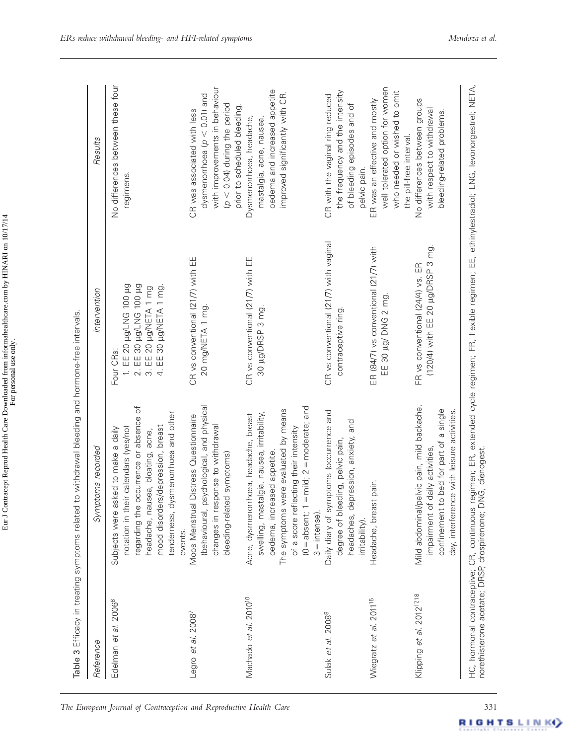| Reference                             | Symptoms recorded                                                                                                                                                                                                                                                               | Intervention                                                                                                                                          | Resuts                                                                                                                                                              |
|---------------------------------------|---------------------------------------------------------------------------------------------------------------------------------------------------------------------------------------------------------------------------------------------------------------------------------|-------------------------------------------------------------------------------------------------------------------------------------------------------|---------------------------------------------------------------------------------------------------------------------------------------------------------------------|
| Edelman et al. 2006 <sup>6</sup>      | regarding the occurrence or absence of<br>tenderness, dysmenorrhoea and other<br>mood disorders/depression, breast<br>notation in their calendars (yes/no)<br>Subjects were asked to make a daily<br>headache, nausea, bloating, acne,<br>events.                               | EE 20 µg/LNG 100 µg<br>2. EE 30 µg/LNG 100 µg<br>EE 30 µg/NETA 1 mg.<br>EE 20 µg/NETA 1 mg<br>Four CRs:<br>$\div$<br>$\dot{\infty}$<br>$\overline{4}$ | No differences between these four<br>regimens.                                                                                                                      |
| Legro et al. 2008 <sup>7</sup>        | (behavioural, psychological, and physical<br>Moos Menstrual Distress Questionnaire<br>changes in response to withdrawal<br>bleeding-related symptoms)                                                                                                                           | CR vs conventional (21/7) with EE<br>20 mg/NETA 1 mg.                                                                                                 | with improvements in behaviour<br>dysmenorrhoea ( $p < 0.01$ ) and<br>$(p < 0.04)$ during the period<br>prior to scheduled bleeding.<br>CR was associated with less |
| Machado et al. 2010 <sup>10</sup>     | $=$ mild; $2 =$ moderate; and<br>The symptoms were evaluated by means<br>swelling, mastalgia, nausea, irritability,<br>Acne, dysmenorrhoea, headache, breast<br>lecting their intensity<br>oedema, increased appetite<br>of a score refl<br>$(0 = absent; 1$<br>$3 =$ intense). | CR vs conventional (21/7) with EE<br>30 µg/DRSP 3 mg.                                                                                                 | oedema and increased appetite<br>improved significantly with CR.<br>Dysmenorrhoea, headache,<br>mastalgia, acne, nausea,                                            |
| Sulak et al. 2008 <sup>8</sup>        | Daily diary of symptoms (occurrence and<br>headaches, depression, anxiety, and<br>degree of bleeding, pelvic pain,<br>irritability).                                                                                                                                            | CR vs conventional (21/7) with vaginal<br>contraceptive ring                                                                                          | the frequency and the intensity<br>CR with the vaginal ring reduced<br>of bleeding episodes and of<br>pelvic pain.                                                  |
| Wiegratz et al. 2011 <sup>15</sup>    | Headache, breast pain.                                                                                                                                                                                                                                                          | ER (84/7) vs conventional (21/7) with<br>EE 30 µg/ DNG 2 mg                                                                                           | well tolerated option for women<br>who needed or wished to omit<br>ER was an effective and mostly<br>the pill-free interval.                                        |
| Klipping et al. 2012 <sup>17,18</sup> | Mild abdominal/pelvic pain, mild backache,<br>confinement to bed for part of a single<br>ice with leisure activities.<br>daily activities,<br>impairment of<br>day, interferer                                                                                                  | (120/4) with EE 20 µg/DRSP 3 mg.<br>FR vs conventional (24/4) vs. ER                                                                                  | No differences between groups<br>with respect to withdrawal<br>bleeding-related problems.                                                                           |

**RIGHTSLINK**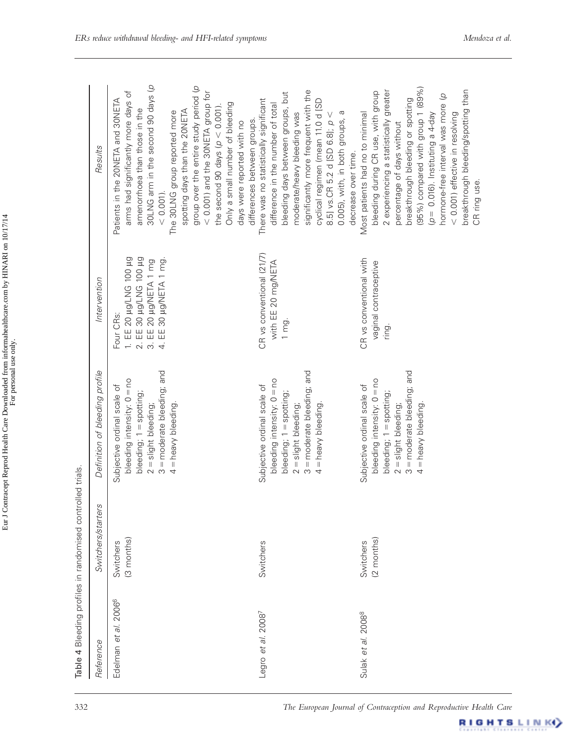| Reference                           | Switchers/starters      | Definition of bleeding profile                                                                                                                                       | Intervention                                                                                                                    | Results                                                                                                                                                                                                                                                                                                                                                                                                                                                 |
|-------------------------------------|-------------------------|----------------------------------------------------------------------------------------------------------------------------------------------------------------------|---------------------------------------------------------------------------------------------------------------------------------|---------------------------------------------------------------------------------------------------------------------------------------------------------------------------------------------------------------------------------------------------------------------------------------------------------------------------------------------------------------------------------------------------------------------------------------------------------|
| 2006 <sup>6</sup><br>Edelman et al. | (3 months)<br>Switchers | 3 = moderate bleeding; and<br>bleeding intensity: 0 = no<br>Subjective ordinal scale of<br>bleeding; 1 = spotting;<br>4 = heavy bleeding<br>$2 =$ slight bleeding;   | 2. EE 30 µg/LNG 100 µg<br>1. EE 20 µg/LNG 100 µg<br>EE 30 µg/NETA 1 mg.<br>3. EE 20 µg/NETA 1 mg<br>Four CRs:<br>$\overline{4}$ | 30LNG arm in the second 90 days (p<br>group over the entire study period (p<br>$<$ 0.001) and the 30NETA group for<br>arms had significantly more days of<br>Patients in the 20NETA and 30NETA<br>Only a small number of bleeding<br>the second 90 days $(p < 0.001)$ .<br>amenorrhoea than those in the<br>spotting days than the 20NETA<br>The 30LNG group reported more<br>differences between groups.<br>days were reported with no<br>$< 0.001$ ). |
| Legro et al. 20087                  | Switchers               | 3 = moderate bleeding; and<br>bleeding intensity: 0 = no<br>Subjective ordinal scale of<br>bleeding; 1 = spotting;<br>$4 =$ heavy bleeding<br>$2 =$ slight bleeding; | CR vs conventional (21/7)<br>with EE 20 mg/NETA<br>$1$ mg.                                                                      | significantly more frequent with the<br>bleeding days between groups, but<br>There was no statistically significant<br>cyclical regimen (mean 11.0 d ISD<br>difference in the number of total<br>0.005), with, in both groups, a<br>$8.5$ ] vs.CR 5.2 d [SD 6.8]; $p <$<br>moderate/heavy bleeding was<br>decrease over time.                                                                                                                           |
| Sulak et al. 2008 <sup>8</sup>      | (2 months)<br>Switchers | 3 = moderate bleeding; and<br>bleeding intensity: 0 = no<br>Subjective ordinal scale of<br>bleeding; 1 = spotting;<br>$2 =$ slight bleeding;<br>$4 =$ heavy bleeding | CR vs conventional with<br>vaginal contraceptive<br>ring.                                                                       | (95%) compared with group 1 (89%)<br>2 experiencing a statistically greater<br>breakthrough bleeding/spotting than<br>bleeding during CR use, with group<br>hormone-free interval was more (p<br>breakthrough bleeding or spotting<br>Most patients had no to minimal<br>$<$ 0.001) effective in resolving<br>$p = 0.016$ ). Instituting a 4-day<br>percentage of days without<br>CR ring use.                                                          |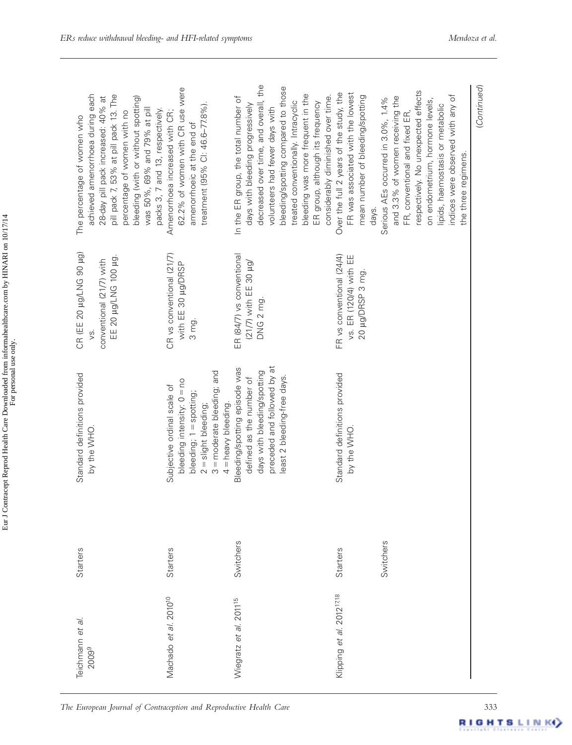| Standard definitions provided<br>by the WHO<br><b>Starters</b><br>Teichmann et al.                                                                                                                                                                                                       | 3 = moderate bleeding; and<br>bleeding intensity: 0 = no<br>Subjective ordinal scale of<br>bleeding; 1 = spotting;<br>4 = heavy bleeding.<br>$2 =$ slight bleeding;<br><b>Starters</b><br>Machado et al. 2010 <sup>10</sup> | preceded and followed by at<br>Bleeding/spotting episode was<br>days with bleeding/spotting<br>least 2 bleeding-free days<br>defined as the number of<br>Switchers<br>Wiegratz et al. 2011 <sup>15</sup>                                                                                                                                         | Standard definitions provided<br>by the WHO.<br><b>Starters</b><br>Klipping et al. 2012 <sup>1718</sup>                   | Switchers                                                                                                                                                                                                                                                                         |
|------------------------------------------------------------------------------------------------------------------------------------------------------------------------------------------------------------------------------------------------------------------------------------------|-----------------------------------------------------------------------------------------------------------------------------------------------------------------------------------------------------------------------------|--------------------------------------------------------------------------------------------------------------------------------------------------------------------------------------------------------------------------------------------------------------------------------------------------------------------------------------------------|---------------------------------------------------------------------------------------------------------------------------|-----------------------------------------------------------------------------------------------------------------------------------------------------------------------------------------------------------------------------------------------------------------------------------|
| CR (EE 20 µg/LNG 90 µg)<br>EE 20 µg/LNG 100 µg.<br>conventional (21/7) with<br>УŚ.                                                                                                                                                                                                       | CR vs conventional (21/7)<br>with EE 30 µg/DRSP<br>3 mg.                                                                                                                                                                    | ER (84/7) vs conventional<br>$(21/7)$ with EE 30 $\mu$ g/<br>DNG 2 mg.                                                                                                                                                                                                                                                                           | FR vs conventional (24/4)<br>vs. ER (120/4) with EE<br>20 µg/DRSP 3 mg.                                                   |                                                                                                                                                                                                                                                                                   |
| achieved amenorrhoea during each<br>pill pack 7, 53% at pill pack 13. The<br>28-day pill pack increased: 40% at<br>bleeding (with or without spotting)<br>was 50%, 69% and 79% at pill<br>packs 3, 7 and 13, respectively.<br>percentage of women with no<br>The percentage of women who | 62.2% of women with CR use were<br>treatment (95% Cl: 46.6-77.8%).<br>Amenorrhoea increased with CR;<br>amenorrhoeic at the end of                                                                                          | decreased over time, and overall, the<br>bleeding/spotting compared to those<br>bleeding was more frequent in the<br>considerably diminished over time.<br>In the ER group, the total number of<br>treated conventionally. Intracyclic<br>ER group, although its frequency<br>days with bleeding progressively<br>volunteers had fewer days with | Over the full 2 years of the study, the<br>FR was associated with the lowest<br>mean number of bleeding/spotting<br>days. | respectively. No unexpected effects<br>indices were observed with any of<br>and 3.3% of women receiving the<br>Serious AEs occurred in 3.0%, 1.4%<br>on endometrium, hormone levels,<br>lipids, haemostasis or metabolic<br>FR, conventional and fixed ER,<br>the three regimens. |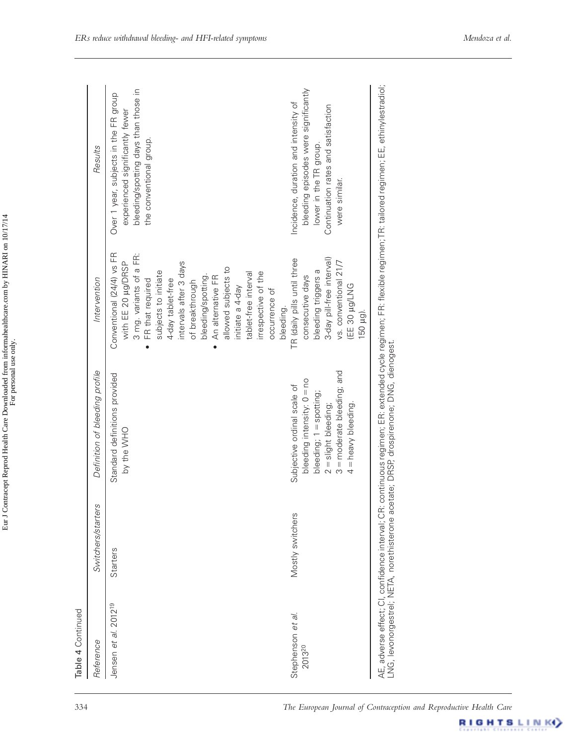| Reference                            | Switchers/starters | Definition of bleeding profile                                                                                                                                                      | Intervention                                                                                                                                                                                                                                                                                                                                                                         | Results                                                                                                                                                        |
|--------------------------------------|--------------------|-------------------------------------------------------------------------------------------------------------------------------------------------------------------------------------|--------------------------------------------------------------------------------------------------------------------------------------------------------------------------------------------------------------------------------------------------------------------------------------------------------------------------------------------------------------------------------------|----------------------------------------------------------------------------------------------------------------------------------------------------------------|
| 201219<br>d.<br>$\Theta t$<br>Jensen | <b>Starters</b>    | Standard definitions provided<br>by the WHO                                                                                                                                         | Conventional (24/4) vs FR<br>3 mg. variants of a FR:<br>with EE 20 µg/DRSP<br>intervals after 3 days<br>allowed subjects to<br>subjects to initiate<br>irrespective of the<br>tablet-free interval<br>bleeding/spotting<br>An alternative FR<br>FR that required<br>4-day tablet-free<br>of breakthrough<br>initiate a 4-day<br>occurrence of<br>bleeding.<br>$\bullet$<br>$\bullet$ | bleeding/spotting days than those in<br>Over 1 year, subjects in the FR group<br>experienced significantly fewer<br>the conventional group.                    |
| Stephenson et al.<br>201320          | Mostly switchers   | 3 = moderate bleeding; and<br>bleeding intensity: 0 = no<br>Subjective ordinal scale of<br>bleeding; 1 = spotting;<br>= heavy bleeding.<br>$2 =$ slight bleeding;<br>$\overline{4}$ | 3-day pill-free interval)<br>TR (daily pills until three<br>vs. conventional 21/7<br>bleeding triggers a<br>consecutive days<br>EE 30 µg/LNG<br>150 µg).                                                                                                                                                                                                                             | bleeding episodes were significantly<br>Incidence, duration and intensity of<br>Continuation rates and satisfaction<br>lower in the TR group.<br>were similar. |

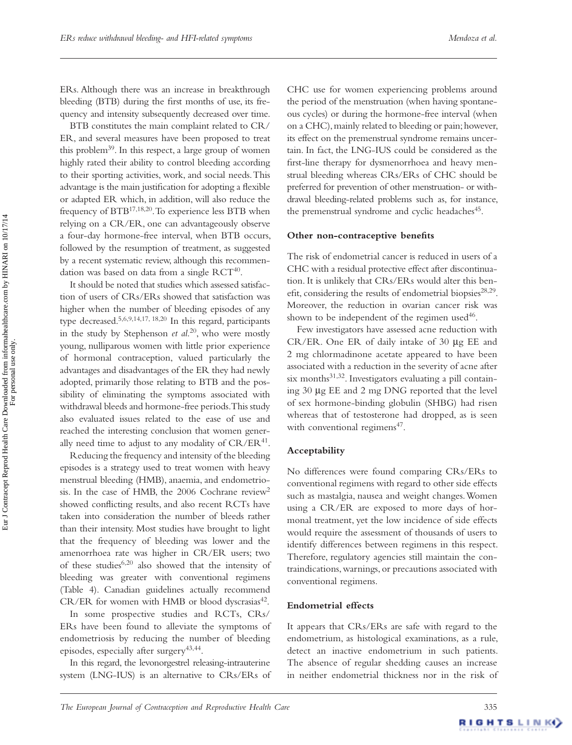ERs. Although there was an increase in breakthrough bleeding (BTB) during the first months of use, its frequency and intensity subsequently decreased over time.

BTB constitutes the main complaint related to CR/ ER, and several measures have been proposed to treat this problem<sup>39</sup>. In this respect, a large group of women highly rated their ability to control bleeding according to their sporting activities, work, and social needs. This advantage is the main justification for adopting a flexible or adapted ER which, in addition, will also reduce the frequency of BTB<sup>17,18,20</sup>. To experience less BTB when relying on a CR/ER, one can advantageously observe a four-day hormone-free interval, when BTB occurs, followed by the resumption of treatment, as suggested by a recent systematic review, although this recommendation was based on data from a single  $RCT^{40}$ .

It should be noted that studies which assessed satisfaction of users of CRs/ERs showed that satisfaction was higher when the number of bleeding episodes of any type decreased. 5,6,9,14,17, 18,20 In this regard, participants in the study by Stephenson *et al.*<sup>20</sup>, who were mostly young, nulliparous women with little prior experience of hormonal contraception, valued particularly the advantages and disadvantages of the ER they had newly adopted, primarily those relating to BTB and the possibility of eliminating the symptoms associated with withdrawal bleeds and hormone-free periods. This study also evaluated issues related to the ease of use and reached the interesting conclusion that women generally need time to adjust to any modality of CR/ER<sup>41</sup>.

Reducing the frequency and intensity of the bleeding episodes is a strategy used to treat women with heavy menstrual bleeding (HMB), anaemia, and endometriosis. In the case of HMB, the  $2006$  Cochrane review<sup>2</sup> showed conflicting results, and also recent RCTs have taken into consideration the number of bleeds rather than their intensity. Most studies have brought to light that the frequency of bleeding was lower and the amenorrhoea rate was higher in CR/ER users; two of these studies<sup>6,20</sup> also showed that the intensity of bleeding was greater with conventional regimens (Table 4). Canadian guidelines actually recommend CR/ER for women with HMB or blood dyscrasias<sup>42</sup>.

In some prospective studies and RCTs, CRs/ ERs have been found to alleviate the symptoms of endometriosis by reducing the number of bleeding episodes, especially after surgery 43,44.

In this regard, the levonorgestrel releasing-intrauterine system (LNG-IUS) is an alternative to CRs/ERs of

CHC use for women experiencing problems around the period of the menstruation (when having spontaneous cycles) or during the hormone-free interval (when on a CHC), mainly related to bleeding or pain; however, its effect on the premenstrual syndrome remains uncertain. In fact, the LNG-IUS could be considered as the first-line therapy for dysmenorrhoea and heavy menstrual bleeding whereas CRs/ERs of CHC should be preferred for prevention of other menstruation- or withdrawal bleeding-related problems such as, for instance, the premenstrual syndrome and cyclic headaches<sup>45</sup>.

#### **Other non-contraceptive benefits**

The risk of endometrial cancer is reduced in users of a CHC with a residual protective effect after discontinuation. It is unlikely that CRs/ERs would alter this benefit, considering the results of endometrial biopsies<sup>28,29</sup>. Moreover, the reduction in ovarian cancer risk was shown to be independent of the regimen used $46$ .

Few investigators have assessed acne reduction with CR/ER. One ER of daily intake of 30 μg EE and 2 mg chlormadinone acetate appeared to have been associated with a reduction in the severity of acne after six months  $31,32$ . Investigators evaluating a pill containing 30 μg EE and 2 mg DNG reported that the level of sex hormone-binding globulin (SHBG) had risen whereas that of testosterone had dropped, as is seen with conventional regimens<sup>47</sup>.

#### **Acceptability**

No differences were found comparing CRs/ERs to conventional regimens with regard to other side effects such as mastalgia, nausea and weight changes. Women using a CR/ER are exposed to more days of hormonal treatment, yet the low incidence of side effects would require the assessment of thousands of users to identify differences between regimens in this respect. Therefore, regulatory agencies still maintain the contraindications, warnings, or precautions associated with conventional regimens.

#### **Endometrial effects**

It appears that CRs/ERs are safe with regard to the endometrium, as histological examinations, as a rule, detect an inactive endometrium in such patients. The absence of regular shedding causes an increase in neither endometrial thickness nor in the risk of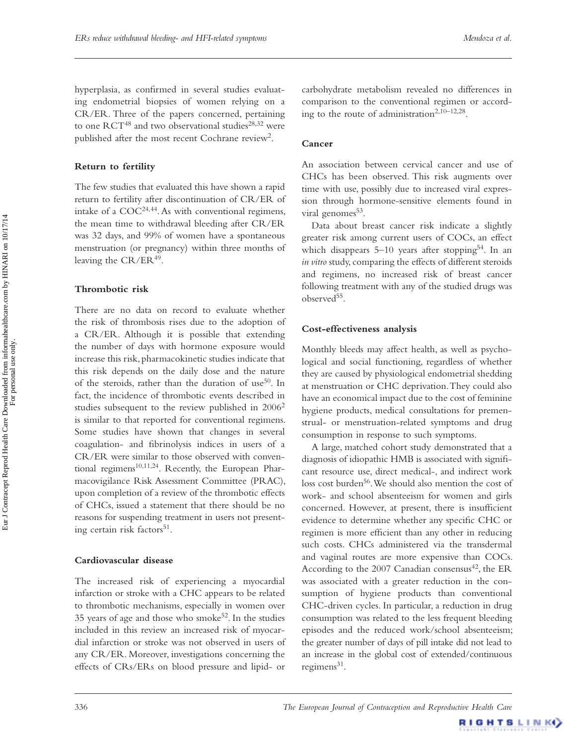hyperplasia, as confirmed in several studies evaluating endometrial biopsies of women relying on a CR/ER. Three of the papers concerned, pertaining to one  $\text{RCT}^{48}$  and two observational studies<sup>28,32</sup> were published after the most recent Cochrane review<sup>2</sup>.

## **Return to fertility**

The few studies that evaluated this have shown a rapid return to fertility after discontinuation of CR/ER of intake of a  $COC^{24,44}$ . As with conventional regimens, the mean time to withdrawal bleeding after CR/ER was 32 days, and 99% of women have a spontaneous menstruation (or pregnancy) within three months of leaving the  $CR/ER^{49}$ .

## **Thrombotic risk**

There are no data on record to evaluate whether the risk of thrombosis rises due to the adoption of a CR/ER. Although it is possible that extending the number of days with hormone exposure would increase this risk, pharmacokinetic studies indicate that this risk depends on the daily dose and the nature of the steroids, rather than the duration of use<sup>50</sup>. In fact, the incidence of thrombotic events described in studies subsequent to the review published in  $2006<sup>2</sup>$ is similar to that reported for conventional regimens. Some studies have shown that changes in several coagulation- and fibrinolysis indices in users of a CR/ER were similar to those observed with conventional regimens<sup>10,11,24</sup>. Recently, the European Pharmacovigilance Risk Assessment Committee (PRAC), upon completion of a review of the thrombotic effects of CHCs, issued a statement that there should be no reasons for suspending treatment in users not presenting certain risk factors<sup>51</sup>.

## **Cardiovascular disease**

The increased risk of experiencing a myocardial infarction or stroke with a CHC appears to be related to thrombotic mechanisms, especially in women over 35 years of age and those who smoke<sup>52</sup>. In the studies included in this review an increased risk of myocardial infarction or stroke was not observed in users of any CR/ER. Moreover, investigations concerning the effects of CRs/ERs on blood pressure and lipid- or

carbohydrate metabolism revealed no differences in comparison to the conventional regimen or according to the route of administration<sup>2,10-12,28</sup>.

## **Cancer**

An association between cervical cancer and use of CHCs has been observed. This risk augments over time with use, possibly due to increased viral expression through hormone-sensitive elements found in viral genomes<sup>53</sup>.

Data about breast cancer risk indicate a slightly greater risk among current users of COCs, an effect which disappears  $5-10$  years after stopping<sup>54</sup>. In an *in vitro* study, comparing the effects of different steroids and regimens, no increased risk of breast cancer following treatment with any of the studied drugs was observed<sup>55</sup>.

## **Cost-effectiveness analysis**

Monthly bleeds may affect health, as well as psychological and social functioning, regardless of whether they are caused by physiological endometrial shedding at menstruation or CHC deprivation. They could also have an economical impact due to the cost of feminine hygiene products, medical consultations for premenstrual- or menstruation-related symptoms and drug consumption in response to such symptoms.

A large, matched cohort study demonstrated that a diagnosis of idiopathic HMB is associated with significant resource use, direct medical-, and indirect work loss cost burden<sup>56</sup>. We should also mention the cost of work- and school absenteeism for women and girls concerned. However, at present, there is insufficient evidence to determine whether any specific CHC or regimen is more efficient than any other in reducing such costs. CHCs administered via the transdermal and vaginal routes are more expensive than COCs. According to the 2007 Canadian consensus<sup>42</sup>, the ER was associated with a greater reduction in the consumption of hygiene products than conventional CHC-driven cycles. In particular, a reduction in drug consumption was related to the less frequent bleeding episodes and the reduced work/school absenteeism; the greater number of days of pill intake did not lead to an increase in the global cost of extended/continuous regimens $^{31}$ .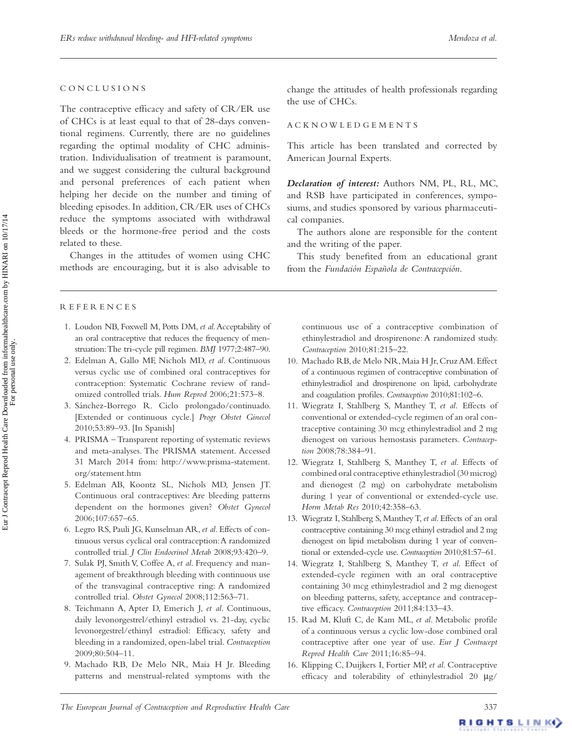#### C O N C L U S I O N S

The contraceptive efficacy and safety of CR/ER use of CHCs is at least equal to that of 28-days conventional regimens. Currently, there are no guidelines regarding the optimal modality of CHC administration. Individualisation of treatment is paramount, and we suggest considering the cultural background and personal preferences of each patient when helping her decide on the number and timing of bleeding episodes. In addition, CR/ER uses of CHCs reduce the symptoms associated with withdrawal bleeds or the hormone-free period and the costs related to these.

Changes in the attitudes of women using CHC methods are encouraging, but it is also advisable to

#### REFERENCES

- 1. Loudon NB, Foxwell M, Potts DM, et al. Acceptability of an oral contraceptive that reduces the frequency of menstruation: The tri-cycle pill regimen. *BMJ* 1977;2:487-90.
- 2. Edelman A, Gallo MF, Nichols MD, et al. Continuous versus cyclic use of combined oral contraceptives for contraception: Systematic Cochrane review of randomized controlled trials. Hum Reprod 2006;21:573-8.
- 3. Sánchez-Borrego R. Ciclo prolongado/continuado. [Extended or continuous cycle.] *Progr Obstet Ginecol* 2010;53:89-93. [In Spanish]
- 4. PRISMA –Transparent reporting of systematic reviews and meta-analyses. The PRISMA statement. Accessed 31 March 2014 from: http://www.prisma-statement. org/statement.htm
- 5. Edelman AB, Koontz SL, Nichols MD, Jensen JT. Continuous oral contraceptives: Are bleeding patterns dependent on the hormones given? *Obstet Gynecol* 2006;107:657-65.
- 6. Legro RS , Pauli JG , Kunselman AR , *et al*. Effects of continuous versus cyclical oral contraception: A randomized controlled trial. *J Clin Endocrinol Metab* 2008;93:420-9.
- 7. Sulak PJ, Smith V, Coffee A, et al. Frequency and management of breakthrough bleeding with continuous use of the transvaginal contraceptive ring: A randomized controlled trial. Obstet Gynecol 2008;112:563-71.
- 8. Teichmann A, Apter D, Emerich J, et al. Continuous, daily levonorgestrel/ethinyl estradiol vs. 21-day, cyclic levonorgestrel/ethinyl estradiol: Efficacy, safety and bleeding in a randomized, open-label trial . *Contraception* 2009:80:504-11.
- 9. Machado RB, De Melo NR, Maia H Jr. Bleeding patterns and menstrual-related symptoms with the

change the attitudes of health professionals regarding the use of CHCs.

#### A C K N O W L E D G E M E N T S

This article has been translated and corrected by American Journal Experts.

*Declaration of interest:* Authors NM, PL, RL, MC, and RSB have participated in conferences, symposiums, and studies sponsored by various pharmaceutical companies.

The authors alone are responsible for the content and the writing of the paper.

This study benefited from an educational grant from the *Fundación Española de Contracepción*.

continuous use of a contraceptive combination of ethinylestradiol and drospirenone: A randomized study . Contraception 2010;81:215-22.

- 10. Machado RB, de Melo NR, Maia H Jr, Cruz AM. Effect of a continuous regimen of contraceptive combination of ethinylestradiol and drospirenone on lipid, carbohydrate and coagulation profiles. *Contraception* 2010;81:102-6.
- 11. Wiegratz I, Stahlberg S, Manthey T, et al. Effects of conventional or extended-cycle regimen of an oral contraceptive containing 30 mcg ethinylestradiol and 2 mg dienogest on various hemostasis parameters . *Contraception* 2008;78:384-91.
- 12. Wiegratz I, Stahlberg S, Manthey T, et al. Effects of combined oral contraceptive ethinylestradiol (30 microg) and dienogest (2 mg) on carbohydrate metabolism during 1 year of conventional or extended-cycle use. *Horm Metab Res* 2010;42:358-63.
- 13. Wiegratz I, Stahlberg S, Manthey T, et al. Effects of an oral contraceptive containing 30 mcg ethinyl estradiol and 2 mg dienogest on lipid metabolism during 1 year of conventional or extended-cycle use. *Contraception* 2010;81:57-61.
- 14. Wiegratz I, Stahlberg S, Manthey T, et al. Effect of extended-cycle regimen with an oral contraceptive containing 30 mcg ethinylestradiol and 2 mg dienogest on bleeding patterns, safety, acceptance and contraceptive efficacy. Contraception 2011;84:133-43.
- 15. Rad M, Kluft C, de Kam ML, et al. Metabolic profile of a continuous versus a cyclic low-dose combined oral contraceptive after one year of use . *Eur J Contracept Reprod Health Care* 2011;16:85-94.
- 16. Klipping C, Duijkers I, Fortier MP, et al. Contraceptive efficacy and tolerability of ethinylestradiol 20 μg/

For personal use only.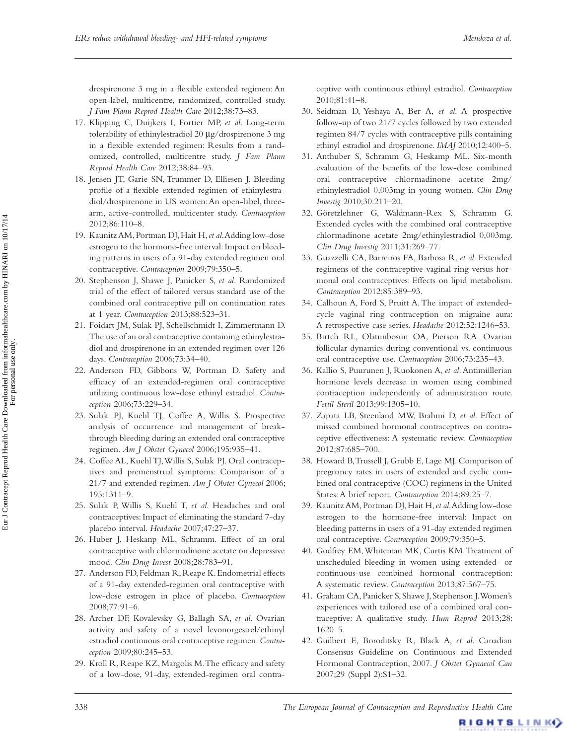drospirenone 3 mg in a flexible extended regimen: An open-label, multicentre, randomized, controlled study . *J Fam Plann Reprod Health Care 2012;38:73-83.* 

- 17. Klipping C, Duijkers I, Fortier MP, et al. Long-term tolerability of ethinylestradiol 20 μg/drospirenone 3 mg in a flexible extended regimen: Results from a randomized, controlled, multicentre study . *J Fam Plann Reprod Health Care* 2012;38:84-93.
- 18. Jensen JT, Garie SN, Trummer D, Elliesen J. Bleeding profile of a flexible extended regimen of ethinylestradiol/drospirenone in US women: An open-label, threearm, active-controlled, multicenter study . *Contraception*  $2012.86.110 - 8$
- 19. Kaunitz AM , Portman DJ , Hait H , *et al*. Adding low-dose estrogen to the hormone-free interval: Impact on bleeding patterns in users of a 91-day extended regimen oral contraceptive. Contraception 2009;79:350-5.
- 20. Stephenson J, Shawe J, Panicker S, et al. Randomized trial of the effect of tailored versus standard use of the combined oral contraceptive pill on continuation rates at 1 year. *Contraception* 2013;88:523-31.
- 21. Foidart JM, Sulak PJ, Schellschmidt I, Zimmermann D. The use of an oral contraceptive containing ethinylestradiol and drospirenone in an extended regimen over 126 days. *Contraception* 2006;73:34-40.
- 22. Anderson FD, Gibbons W, Portman D. Safety and effi cacy of an extended-regimen oral contraceptive utilizing continuous low-dose ethinyl estradiol . *Contraception* 2006;73:229-34.
- 23. Sulak PJ, Kuehl TJ, Coffee A, Willis S. Prospective analysis of occurrence and management of breakthrough bleeding during an extended oral contraceptive regimen. Am J Obstet Gynecol 2006;195:935-41.
- 24. Coffee AL, Kuehl TJ, Willis S, Sulak PJ. Oral contraceptives and premenstrual symptoms: Comparison of a 21/7 and extended regimen. Am J Obstet Gynecol 2006; 195:1311-9.
- 25. Sulak P, Willis S, Kuehl T, et al. Headaches and oral contraceptives: Impact of eliminating the standard 7-day placebo interval. *Headache* 2007;47:27-37.
- 26. Huber J, Heskanp ML, Schramm. Effect of an oral contraceptive with chlormadinone acetate on depressive mood. *Clin Drug Invest* 2008;28:783-91.
- 27. Anderson FD, Feldman R, Reape K. Endometrial effects of a 91-day extended-regimen oral contraceptive with low-dose estrogen in place of placebo. *Contraception* 2008;77:91-6.
- 28. Archer DF, Kovalevsky G, Ballagh SA, et al. Ovarian activity and safety of a novel levonorgestrel/ethinyl estradiol continuous oral contraceptive regimen. Contra*ception* 2009;80:245-53.
- 29. Kroll R, Reape KZ, Margolis M. The efficacy and safety of a low-dose, 91-day, extended-regimen oral contra-

ceptive with continuous ethinyl estradiol . *Contraception*  $2010:81:41 - 8$ .

- 30. Seidman D, Yeshaya A, Ber A, et al. A prospective follow-up of two 21/7 cycles followed by two extended regimen 84/7 cycles with contraceptive pills containing ethinyl estradiol and drospirenone. *IMAJ* 2010;12:400-5.
- 31. Anthuber S. Schramm G. Heskamp ML, Six-month evaluation of the benefits of the low-dose combined oral contraceptive chlormadinone acetate 2mg/ ethinylestradiol 0,003mg in young women . *Clin Drug Investig* 2010;30:211-20.
- 32. Göretzlehner G, Waldmann-Rex S, Schramm G. Extended cycles with the combined oral contraceptive chlormadinone acetate 2mg/ethinylestradiol 0,003mg . *Clin Drug Investig* 2011;31:269-77.
- 33. Guazzelli CA , Barreiros FA , Barbosa R , *et al*. Extended regimens of the contraceptive vaginal ring versus hormonal oral contraceptives: Effects on lipid metabolism. Contraception 2012;85:389-93.
- 34. Calhoun A, Ford S, Pruitt A. The impact of extendedcycle vaginal ring contraception on migraine aura: A retrospective case series. *Headache* 2012;52:1246-53.
- 35. Birtch RL, Olatunbosun OA, Pierson RA. Ovarian follicular dynamics during conventional vs. continuous oral contraceptive use. *Contraception* 2006;73:235-43.
- 36. Kallio S, Puurunen J, Ruokonen A, et al. Antimüllerian hormone levels decrease in women using combined contraception independently of administration route . *Fertil Steril* 2013;99:1305-10.
- 37. Zapata LB, Steenland MW, Brahmi D, et al. Effect of missed combined hormonal contraceptives on contraceptive effectiveness: A systematic review . *Contraception* 2012;87:685-700.
- 38. Howard B, Trussell J, Grubb E, Lage MJ. Comparison of pregnancy rates in users of extended and cyclic combined oral contraceptive (COC) regimens in the United States: A brief report. *Contraception* 2014;89:25-7.
- 39. Kaunitz AM, Portman DJ, Hait H, et al. Adding low-dose estrogen to the hormone-free interval: Impact on bleeding patterns in users of a 91-day extended regimen oral contraceptive. *Contraception* 2009;79:350-5.
- 40. Godfrey EM, Whiteman MK, Curtis KM. Treatment of unscheduled bleeding in women using extended- or continuous-use combined hormonal contraception: A systematic review. *Contraception* 2013;87:567-75.
- 41. Graham CA, Panicker S, Shawe J, Stephenson J. Women's experiences with tailored use of a combined oral contraceptive: A qualitative study. Hum Reprod 2013;28:  $1620 - 5.$
- 42. Guilbert E, Boroditsky R, Black A, et al. Canadian Consensus Guideline on Continuous and Extended Hormonal Contraception, 2007 . *J Obstet Gynaecol Can* 2007;29 (Suppl 2):S1-32.

RIGHTSLINK)

Eur J Contracept Reprod Health Care Downloaded from informahealthcare.com by HINARI on 10/17/14<br>For personal use only. Eur J Contracept Reprod Health Care Downloaded from informahealthcare.com by HINARI on 10/17/14 For personal use only.